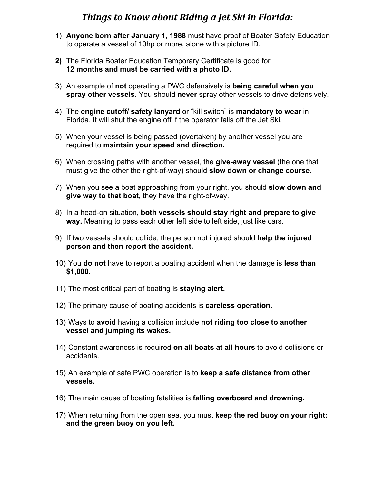## **Things to Know about Riding a Jet Ski in Florida:**

- 1) **Anyone born after January 1, 1988** must have proof of Boater Safety Education to operate a vessel of 10hp or more, alone with a picture ID.
- **2)** The Florida Boater Education Temporary Certificate is good for **12 months and must be carried with a photo ID.**
- 3) An example of **not** operating a PWC defensively is **being careful when you spray other vessels.** You should **never** spray other vessels to drive defensively.
- 4) The **engine cutoff/ safety lanyard** or "kill switch" is **mandatory to wear** in Florida. It will shut the engine off if the operator falls off the Jet Ski.
- 5) When your vessel is being passed (overtaken) by another vessel you are required to **maintain your speed and direction.**
- 6) When crossing paths with another vessel, the **give-away vessel** (the one that must give the other the right-of-way) should **slow down or change course.**
- 7) When you see a boat approaching from your right, you should **slow down and give way to that boat,** they have the right-of-way.
- 8) In a head-on situation, **both vessels should stay right and prepare to give way.** Meaning to pass each other left side to left side, just like cars.
- 9) If two vessels should collide, the person not injured should **help the injured person and then report the accident.**
- 10) You **do not** have to report a boating accident when the damage is **less than \$1,000.**
- 11) The most critical part of boating is **staying alert.**
- 12) The primary cause of boating accidents is **careless operation.**
- 13) Ways to **avoid** having a collision include **not riding too close to another vessel and jumping its wakes.**
- 14) Constant awareness is required **on all boats at all hours** to avoid collisions or accidents.
- 15) An example of safe PWC operation is to **keep a safe distance from other vessels.**
- 16) The main cause of boating fatalities is **falling overboard and drowning.**
- 17) When returning from the open sea, you must **keep the red buoy on your right; and the green buoy on you left.**